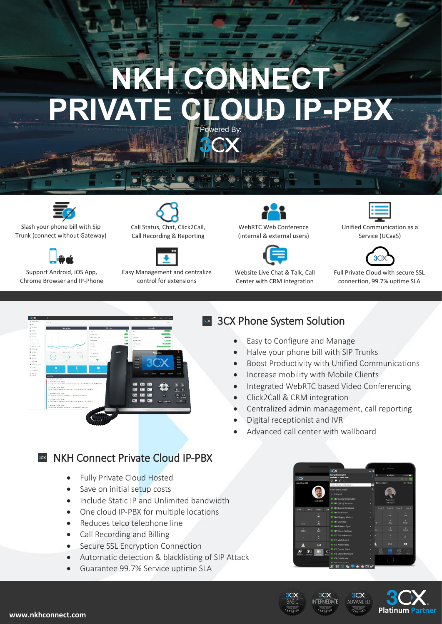# NKH CONNE **PRIVATE CLOUD IP-PBX** Powered By:



Slash your phone bill with Sip Trunk (connect without Gateway)



Support Android, iOS App, Chrome Browser and IP-Phone



Call Recording & Reporting



Easy Management and centralize control for extensions



(internal & external users)



Website Live Chat & Talk, Call Center with CRM integration



Unified Communication as a Service (UCaaS)



Full Private Cloud with secure SSL connection, 99.7% uptime SLA



# **8x 3CX Phone System Solution**

- Easy to Configure and Manage
- Halve your phone bill with SIP Trunks
- Boost Productivity with Unified Communications
- Increase mobility with Mobile Clients
- Integrated WebRTC based Video Conferencing
- Click2Call & CRM integration
- Centralized admin management, call reporting
- Digital receptionist and IVR
- Advanced call center with wallboard

### **NKH Connect Private Cloud IP-PBX**

- Fully Private Cloud Hosted
- Save on initial setup costs
- Include Static IP and Unlimited bandwidth
- One cloud IP-PBX for multiple locations
- Reduces telco telephone line
- Call Recording and Billing
- Secure SSL Encryption Connection
- Automatic detection & blacklisting of SIP Attack
- Guarantee 99.7% Service uptime SLA